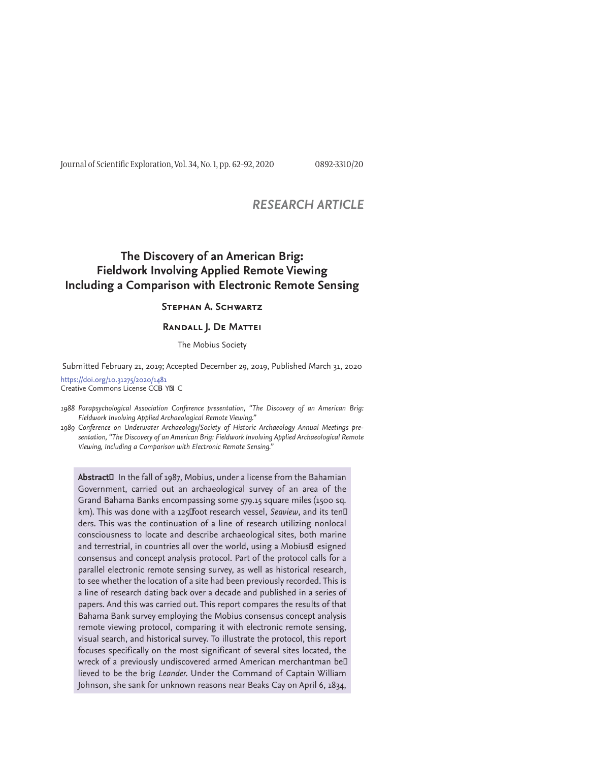Journal of Scientific Exploration, Vol. 34, No. 1, pp. 62-92, 2020 0892-3310/20

# *RESEARCH ARTICLE*

# **The Discovery of an American Brig: Fieldwork Involving Applied Remote Viewing Including a Comparison with Electronic Remote Sensing**

## **Stephan A. Schwartz**

#### **Randall J. De Mattei**

The Mobius Society

Submitted February 21, 2019; Accepted December 29, 2019, Published March 31, 2020

https://doi.org/10.31275/2020/1481 Creative Commons License CCB YN C

*1988 Parapsychological Association Conference presentation, "The Discovery of an American Brig: Fieldwork Involving Applied Archaeological Remote Viewing."* 

*1989 Conference on Underwater Archaeology/Society of Historic Archaeology Annual Meetings presentation, "The Discovery of an American Brig: Fieldwork Involving Applied Archaeological Remote Viewing, Including a Comparison with Electronic Remote Sensing."*

Abstract<sup>[1]</sup> In the fall of 1987, Mobius, under a license from the Bahamian Government, carried out an archaeological survey of an area of the Grand Bahama Banks encompassing some 579.15 square miles (1500 sq. km). This was done with a 125Foot research vessel, Seaview, and its ten<sup>[]</sup> ders. This was the continuation of a line of research utilizing nonlocal consciousness to locate and describe archaeological sites, both marine and terrestrial, in countries all over the world, using a Mobiusd esigned consensus and concept analysis protocol. Part of the protocol calls for a parallel electronic remote sensing survey, as well as historical research, to see whether the location of a site had been previously recorded. This is a line of research dating back over a decade and published in a series of papers. And this was carried out. This report compares the results of that Bahama Bank survey employing the Mobius consensus concept analysis remote viewing protocol, comparing it with electronic remote sensing, visual search, and historical survey. To illustrate the protocol, this report focuses specifically on the most significant of several sites located, the wreck of a previously undiscovered armed American merchantman be<sup>[]</sup> lieved to be the brig *Leander.* Under the Command of Captain William Johnson, she sank for unknown reasons near Beaks Cay on April 6, 1834,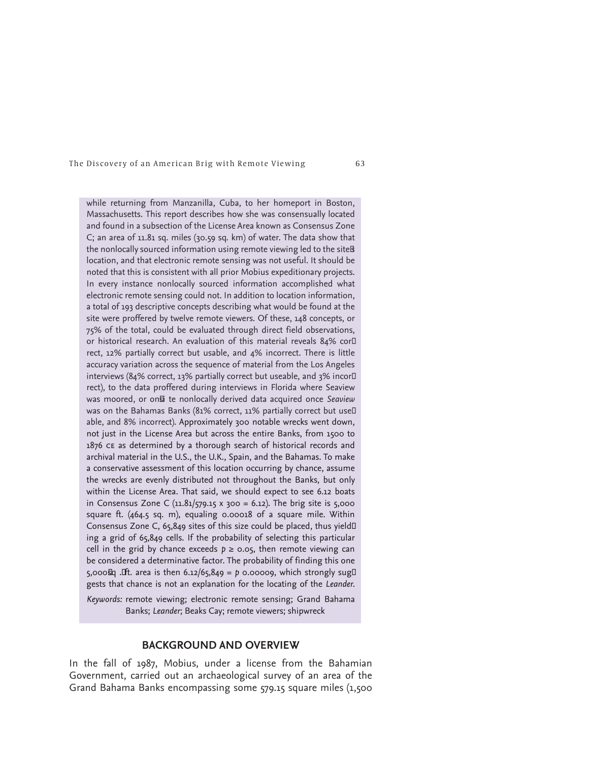while returning from Manzanilla, Cuba, to her homeport in Boston, Massachusetts. This report describes how she was consensually located and found in a subsection of the License Area known as Consensus Zone C; an area of 11.81 sq. miles (30.59 sq. km) of water. The data show that the nonlocally sourced information using remote viewing led to the site<sup>g</sup> location, and that electronic remote sensing was not useful. It should be noted that this is consistent with all prior Mobius expeditionary projects. In every instance nonlocally sourced information accomplished what electronic remote sensing could not. In addition to location information, a total of 193 descriptive concepts describing what would be found at the site were proffered by twelve remote viewers. Of these, 148 concepts, or 75% of the total, could be evaluated through direct field observations, or historical research. An evaluation of this material reveals 84% cor□ rect, 12% partially correct but usable, and 4% incorrect. There is little accuracy variation across the sequence of material from the Los Angeles interviews (84% correct, 13% partially correct but useable, and 3% incor $\Box$ rect), to the data proffered during interviews in Florida where Seaview was moored, or on**E** te nonlocally derived data acquired once *Seaview* was on the Bahamas Banks (81% correct, 11% partially correct but use<sup>[]</sup> able, and 8% incorrect). Approximately 300 notable wrecks went down, not just in the License Area but across the entire Banks, from 1500 to 1876 CE as determined by a thorough search of historical records and archival material in the U.S., the U.K., Spain, and the Bahamas. To make a conservative assessment of this location occurring by chance, assume the wrecks are evenly distributed not throughout the Banks, but only within the License Area. That said, we should expect to see 6.12 boats in Consensus Zone C  $(11.81/579.15 \times 300 = 6.12)$ . The brig site is 5,000 square ft. (464.5 sq. m), equaling 0.00018 of a square mile. Within Consensus Zone C, 65,849 sites of this size could be placed, thus yield□ ing a grid of 65,849 cells. If the probability of selecting this particular cell in the grid by chance exceeds  $p \ge 0.05$ , then remote viewing can be considered a determinative factor. The probability of finding this one 5,000&q .Ift. area is then 6.12/65,849 = p 0.00009, which strongly sug<sup>[]</sup> gests that chance is not an explanation for the locating of the *Leander.*

*Keywords:* remote viewing; electronic remote sensing; Grand Bahama Banks; *Leander*; Beaks Cay; remote viewers; shipwreck

# **BACKGROUND AND OVERVIEW**

In the fall of 1987, Mobius, under a license from the Bahamian Government, carried out an archaeological survey of an area of the Grand Bahama Banks encompassing some 579.15 square miles (1,500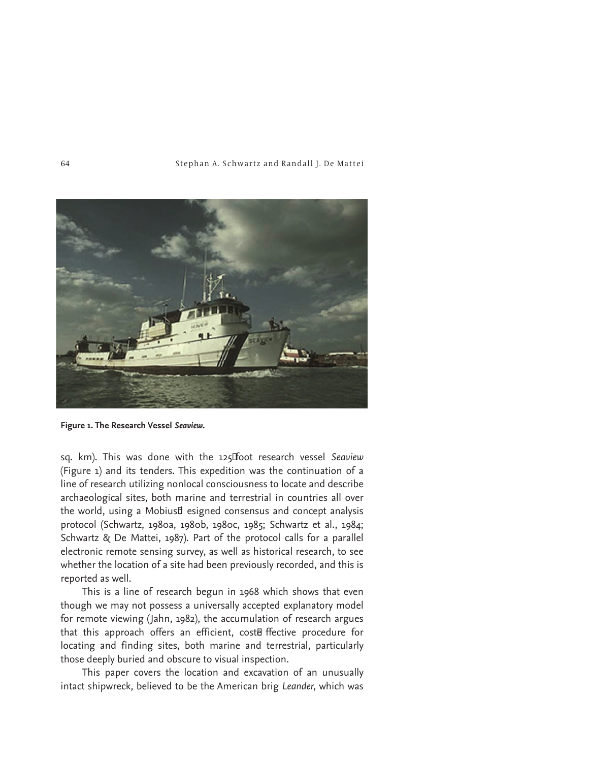

**Figure 1. The Research Vessel** *Seaview***.**

sq. km). This was done with the 125Foot research vessel Seaview (Figure 1) and its tenders. This expedition was the continuation of a line of research utilizing nonlocal consciousness to locate and describe archaeological sites, both marine and terrestrial in countries all over the world, using a Mobiusd esigned consensus and concept analysis protocol (Schwartz, 1980a, 1980b, 1980c, 1985; Schwartz et al., 1984; Schwartz & De Mattei, 1987). Part of the protocol calls for a parallel electronic remote sensing survey, as well as historical research, to see whether the location of a site had been previously recorded, and this is reported as well.

This is a line of research begun in 1968 which shows that even though we may not possess a universally accepted explanatory model for remote viewing (Jahn, 1982), the accumulation of research argues that this approach offers an efficient, coste ffective procedure for locating and finding sites, both marine and terrestrial, particularly those deeply buried and obscure to visual inspection.

This paper covers the location and excavation of an unusually intact shipwreck, believed to be the American brig *Leander,* which was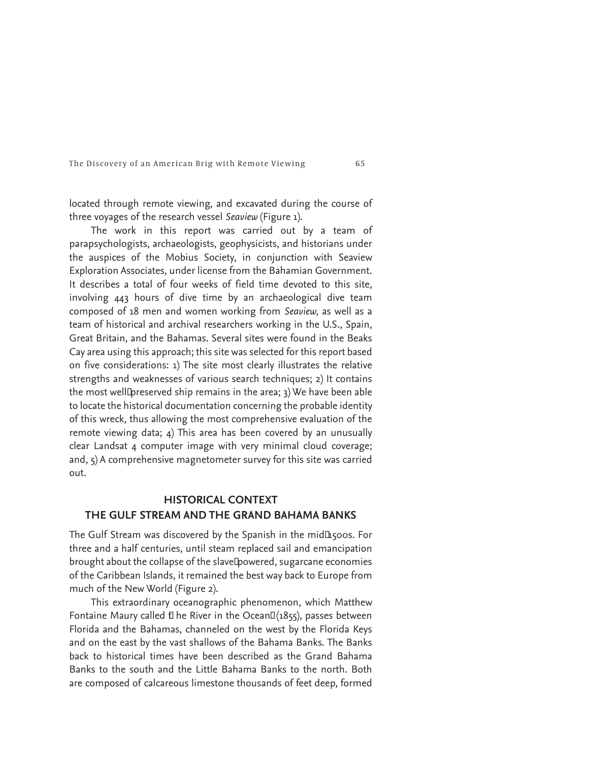located through remote viewing, and excavated during the course of three voyages of the research vessel *Seaview* (Figure 1)*.* 

The work in this report was carried out by a team of parapsychologists, archaeologists, geophysicists, and historians under the auspices of the Mobius Society, in conjunction with Seaview Exploration Associates, under license from the Bahamian Government. It describes a total of four weeks of field time devoted to this site, involving 443 hours of dive time by an archaeological dive team composed of 18 men and women working from *Seaview,* as well as a team of historical and archival researchers working in the U.S., Spain, Great Britain, and the Bahamas*.* Several sites were found in the Beaks Cay area using this approach; this site was selected for this report based on five considerations: 1) The site most clearly illustrates the relative strengths and weaknesses of various search techniques; 2) It contains the most well¤ preserved ship remains in the area; 3) We have been able to locate the historical documentation concerning the probable identity of this wreck, thus allowing the most comprehensive evaluation of the remote viewing data; 4) This area has been covered by an unusually clear Landsat 4 computer image with very minimal cloud coverage; and, 5) A comprehensive magnetometer survey for this site was carried out.

# **HISTORICAL CONTEXT THE GULF STREAM AND THE GRAND BAHAMA BANKS**

The Gulf Stream was discovered by the Spanish in the midL500s. For three and a half centuries, until steam replaced sail and emancipation brought about the collapse of the slave howered, sugarcane economies of the Caribbean Islands, it remained the best way back to Europe from much of the New World (Figure 2).

This extraordinary oceanographic phenomenon, which Matthew Fontaine Maury called  $E$  he River in the Ocean $E(1855)$ , passes between Florida and the Bahamas, channeled on the west by the Florida Keys and on the east by the vast shallows of the Bahama Banks. The Banks back to historical times have been described as the Grand Bahama Banks to the south and the Little Bahama Banks to the north. Both are composed of calcareous limestone thousands of feet deep, formed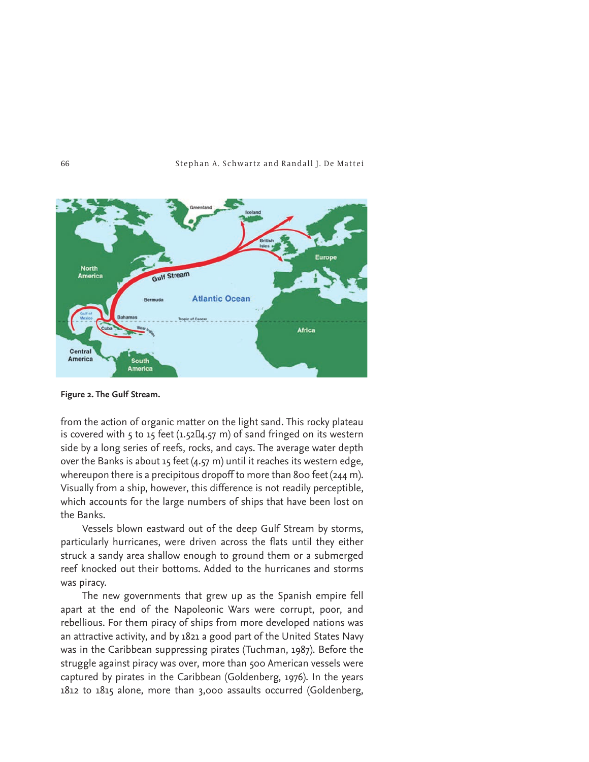

**Figure 2. The Gulf Stream.**

from the action of organic matter on the light sand. This rocky plateau is covered with 5 to 15 feet  $(1.52\mathbb{Z}4.57 \text{ m})$  of sand fringed on its western side by a long series of reefs, rocks, and cays. The average water depth over the Banks is about 15 feet  $(4.57 \text{ m})$  until it reaches its western edge, whereupon there is a precipitous dropoff to more than 800 feet (244 m). Visually from a ship, however, this difference is not readily perceptible, which accounts for the large numbers of ships that have been lost on the Banks.

Vessels blown eastward out of the deep Gulf Stream by storms, particularly hurricanes, were driven across the flats until they either struck a sandy area shallow enough to ground them or a submerged reef knocked out their bottoms. Added to the hurricanes and storms was piracy.

The new governments that grew up as the Spanish empire fell apart at the end of the Napoleonic Wars were corrupt, poor, and rebellious. For them piracy of ships from more developed nations was an attractive activity, and by 1821 a good part of the United States Navy was in the Caribbean suppressing pirates (Tuchman, 1987). Before the struggle against piracy was over, more than 500 American vessels were captured by pirates in the Caribbean (Goldenberg, 1976). In the years 1812 to 1815 alone, more than 3,000 assaults occurred (Goldenberg,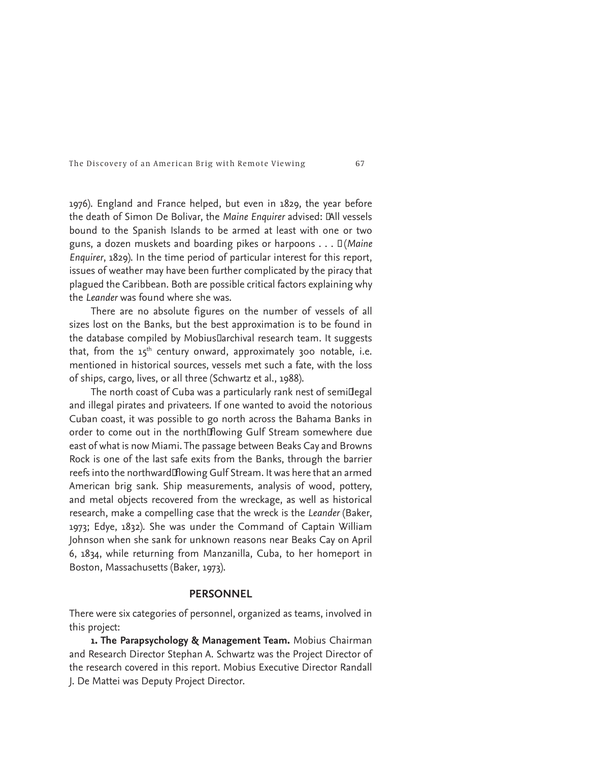1976). England and France helped, but even in 1829, the year before the death of Simon De Bolivar, the Maine Enquirer advised: *IAll vessels* bound to the Spanish Islands to be armed at least with one or two guns, a dozen muskets and boarding pikes or harpoons . . . î (*Maine Enquirer*, 1829). In the time period of particular interest for this report, issues of weather may have been further complicated by the piracy that plagued the Caribbean. Both are possible critical factors explaining why the *Leander* was found where she was.

There are no absolute figures on the number of vessels of all sizes lost on the Banks, but the best approximation is to be found in the database compiled by Mobius<sub>[larchival research team. It suggests</sub> that, from the  $15<sup>th</sup>$  century onward, approximately 300 notable, i.e. mentioned in historical sources, vessels met such a fate, with the loss of ships, cargo, lives, or all three (Schwartz et al., 1988).

The north coast of Cuba was a particularly rank nest of semi¤egal and illegal pirates and privateers. If one wanted to avoid the notorious Cuban coast, it was possible to go north across the Bahama Banks in order to come out in the northHowing Gulf Stream somewhere due east of what is now Miami. The passage between Beaks Cay and Browns Rock is one of the last safe exits from the Banks, through the barrier reefs into the northwardHowing Gulf Stream. It was here that an armed American brig sank. Ship measurements, analysis of wood, pottery, and metal objects recovered from the wreckage, as well as historical research, make a compelling case that the wreck is the *Leander* (Baker, 1973; Edye, 1832)*.* She was under the Command of Captain William Johnson when she sank for unknown reasons near Beaks Cay on April 6, 1834, while returning from Manzanilla, Cuba, to her homeport in Boston, Massachusetts (Baker, 1973).

# **PERSONNEL**

There were six categories of personnel, organized as teams, involved in this project:

**1. The Parapsychology & Management Team.** Mobius Chairman and Research Director Stephan A. Schwartz was the Project Director of the research covered in this report. Mobius Executive Director Randall J. De Mattei was Deputy Project Director.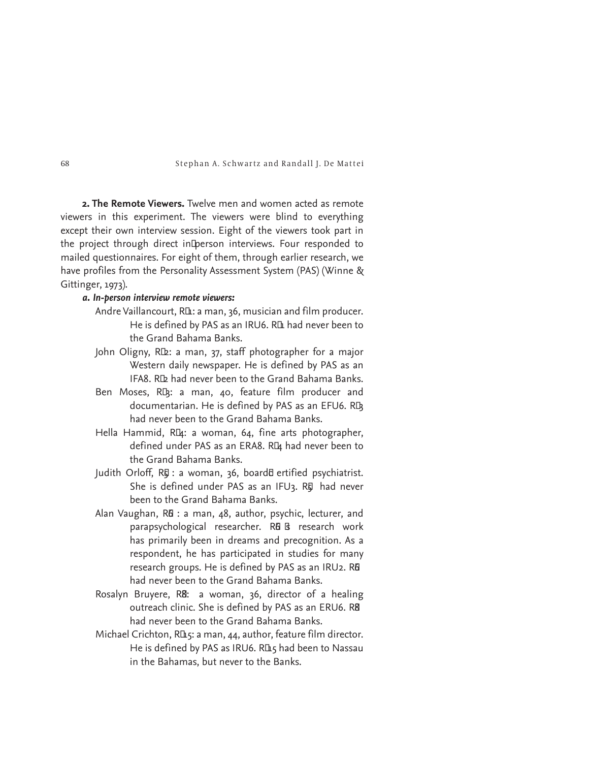**2. The Remote Viewers.** Twelve men and women acted as remote viewers in this experiment. The viewers were blind to everything except their own interview session. Eight of the viewers took part in the project through direct inDperson interviews. Four responded to mailed questionnaires. For eight of them, through earlier research, we have profiles from the Personality Assessment System (PAS) (Winne & Gittinger, 1973).

# *a. In-person interview remote viewers:*

- Andre Vaillancourt, RLt: a man, 36, musician and film producer. He is defined by PAS as an IRU6. R**L** had never been to the Grand Bahama Banks.
- John Oligny, RI 2: a man, 37, staff photographer for a major Western daily newspaper. He is defined by PAS as an IFA8. R**L** had never been to the Grand Bahama Banks.
- Ben Moses, RD<sub>3</sub>: a man, 40, feature film producer and documentarian. He is defined by PAS as an EFU6. RD had never been to the Grand Bahama Banks.
- Hella Hammid, RL4: a woman, 64, fine arts photographer, defined under PAS as an ERA8. RL4 had never been to the Grand Bahama Banks.
- Judith Orloff, RE : a woman, 36, board& ertified psychiatrist. She is defined under PAS as an IFU3. RE had never been to the Grand Bahama Banks.
- Alan Vaughan, R& : a man, 48, author, psychic, lecturer, and parapsychological researcher. R& B research work has primarily been in dreams and precognition. As a respondent, he has participated in studies for many research groups. He is defined by PAS as an IRU2. R<sup>6</sup> had never been to the Grand Bahama Banks.
- Rosalyn Bruyere, R8: a woman, 36, director of a healing outreach clinic. She is defined by PAS as an ERU6. R8 had never been to the Grand Bahama Banks.
- Michael Crichton, R<sub>L5</sub>: a man, 44, author, feature film director. He is defined by PAS as IRU6. RLL5 had been to Nassau in the Bahamas, but never to the Banks.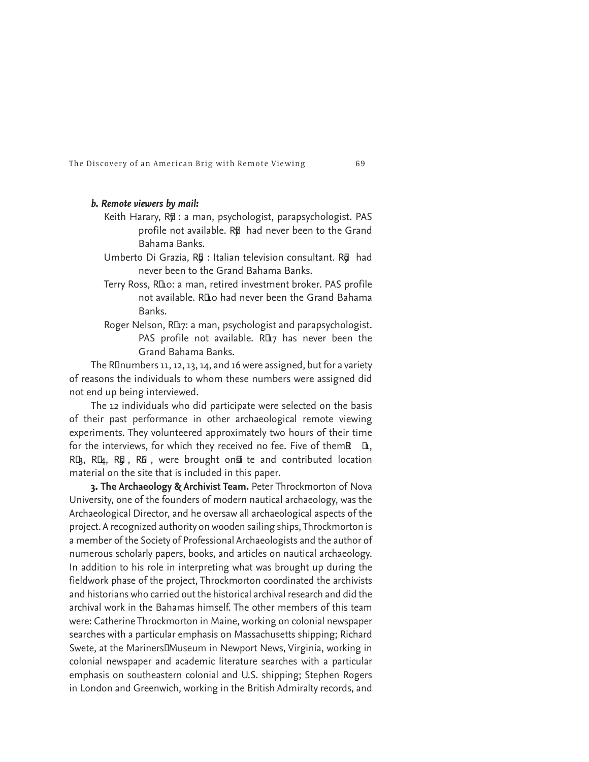## *b. Remote viewers by mail:*

- Keith Harary, R p: a man, psychologist, parapsychologist. PAS profile not available. R<sub>77</sub> had never been to the Grand Bahama Banks.
- Umberto Di Grazia, R**¤** : Italian television consultant. R**¤** had never been to the Grand Bahama Banks.
- Terry Ross, R<sub>ID</sub>o: a man, retired investment broker. PAS profile not available. R<sub>II</sub>o had never been the Grand Bahama Banks.
- Roger Nelson, R<sub>II7</sub>: a man, psychologist and parapsychologist. PAS profile not available. R $I\!\!L_7$  has never been the Grand Bahama Banks.

The R $\Box$ numbers 11, 12, 13, 14, and 16 were assigned, but for a variety of reasons the individuals to whom these numbers were assigned did not end up being interviewed.

The 12 individuals who did participate were selected on the basis of their past performance in other archaeological remote viewing experiments. They volunteered approximately two hours of their time for the interviews, for which they received no fee. Five of them $\mathbb R$   $\mathbb L$ , RD<sub>3</sub>, RD<sub>4</sub>, RD<sub>5</sub>, RB<sub>5</sub>, were brought on<sub>E</sub> te and contributed location material on the site that is included in this paper.

**3. The Archaeology & Archivist Team.** Peter Throckmorton of Nova University, one of the founders of modern nautical archaeology, was the Archaeological Director, and he oversaw all archaeological aspects of the project. A recognized authority on wooden sailing ships, Throckmorton is a member of the Society of Professional Archaeologists and the author of numerous scholarly papers, books, and articles on nautical archaeology. In addition to his role in interpreting what was brought up during the fieldwork phase of the project, Throckmorton coordinated the archivists and historians who carried out the historical archival research and did the archival work in the Bahamas himself. The other members of this team were: Catherine Throckmorton in Maine, working on colonial newspaper searches with a particular emphasis on Massachusetts shipping; Richard Swete, at the Mariners<sup>IM</sup>useum in Newport News, Virginia, working in colonial newspaper and academic literature searches with a particular emphasis on southeastern colonial and U.S. shipping; Stephen Rogers in London and Greenwich, working in the British Admiralty records, and

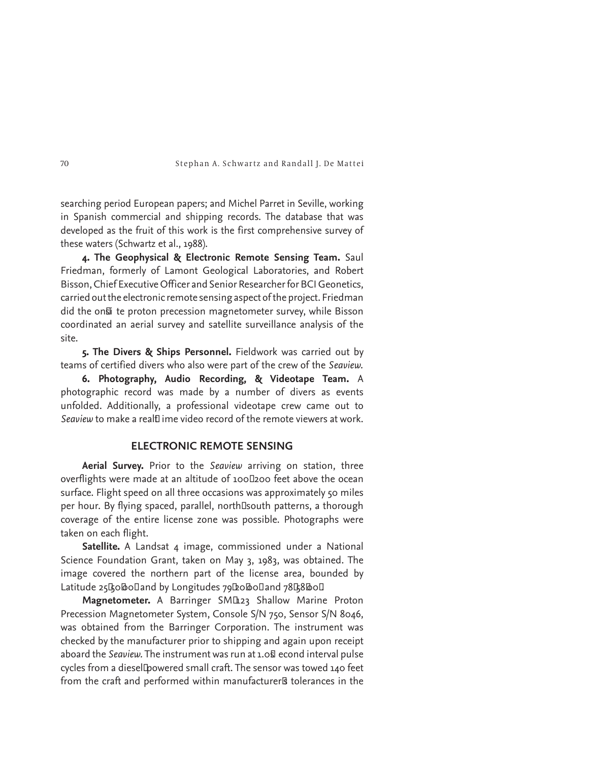searching period European papers; and Michel Parret in Seville, working in Spanish commercial and shipping records. The database that was developed as the fruit of this work is the first comprehensive survey of these waters (Schwartz et al., 1988).

**4. The Geophysical & Electronic Remote Sensing Team.** Saul Friedman, formerly of Lamont Geological Laboratories, and Robert Bisson, Chief Executive Officer and Senior Researcher for BCI Geonetics, carried out the electronic remote sensing aspect of the project. Friedman did the on*si* te proton precession magnetometer survey, while Bisson coordinated an aerial survey and satellite surveillance analysis of the site.

**5. The Divers & Ships Personnel.** Fieldwork was carried out by teams of certified divers who also were part of the crew of the *Seaview.*

**6. Photography, Audio Recording, & Videotape Team.** A photographic record was made by a number of divers as events unfolded. Additionally, a professional videotape crew came out to Seaview to make a real<sup>†</sup>t ime video record of the remote viewers at work.

# **ELECTRONIC REMOTE SENSING**

**Aerial Survey.** Prior to the *Seaview* arriving on station, three overflights were made at an altitude of 100<sub>0</sub>200 feet above the ocean surface. Flight speed on all three occasions was approximately 50 miles per hour. By flying spaced, parallel, north<sup>I</sup>south patterns, a thorough coverage of the entire license zone was possible. Photographs were taken on each flight.

Satellite. A Landsat 4 image, commissioned under a National Science Foundation Grant, taken on May 3, 1983, was obtained. The image covered the northern part of the license area, bounded by Latitude 25Go bolland by Longitudes 79 Loboland 78G8 Bol

Magnetometer. A Barringer SML<sub>123</sub> Shallow Marine Proton Precession Magnetometer System, Console S/N 750, Sensor S/N 8046, was obtained from the Barringer Corporation. The instrument was checked by the manufacturer prior to shipping and again upon receipt aboard the *Seaview*. The instrument was run at 1.0§ econd interval pulse cycles from a diesel Dowered small craft. The sensor was towed 140 feet from the craft and performed within manufacturer<sup>g</sup> tolerances in the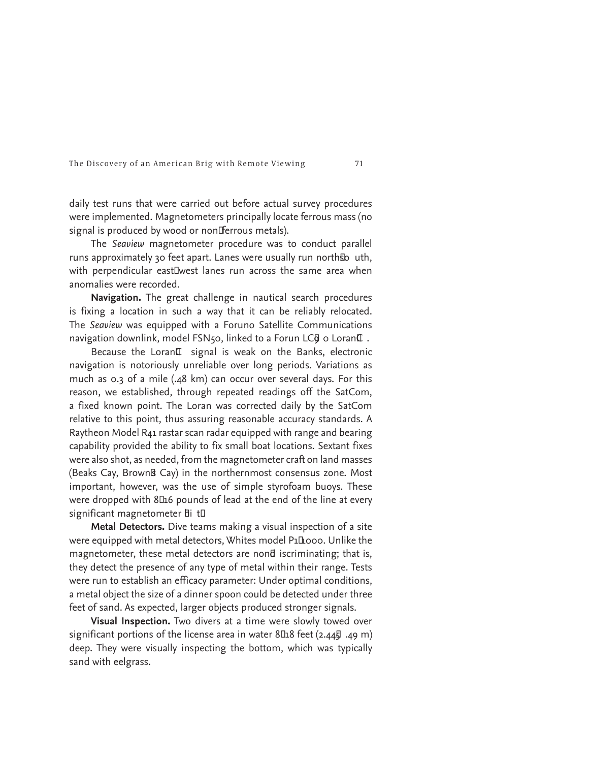daily test runs that were carried out before actual survey procedures were implemented. Magnetometers principally locate ferrous mass (no signal is produced by wood or nonFerrous metals).

The *Seaview* magnetometer procedure was to conduct parallel runs approximately 30 feet apart. Lanes were usually run northso uth, with perpendicular eastIwest lanes run across the same area when anomalies were recorded.

**Navigation.** The great challenge in nautical search procedures is fixing a location in such a way that it can be reliably relocated. The *Seaview* was equipped with a Foruno Satellite Communications navigation downlink, model FSN50, linked to a Forun LCQ o Loran<sup>ID</sup>.

Because the LoranII signal is weak on the Banks, electronic navigation is notoriously unreliable over long periods. Variations as much as 0.3 of a mile (.48 km) can occur over several days. For this reason, we established, through repeated readings off the SatCom, a fixed known point. The Loran was corrected daily by the SatCom relative to this point, thus assuring reasonable accuracy standards. A Raytheon Model R41 rastar scan radar equipped with range and bearing capability provided the ability to fix small boat locations. Sextant fixes were also shot, as needed, from the magnetometer craft on land masses (Beaks Cay, Brownß Cay) in the northernmost consensus zone. Most important, however, was the use of simple styrofoam buoys. These were dropped with 8 $\Box$ 16 pounds of lead at the end of the line at every significant magnetometer  $\overline{b}$ i t $\overline{u}$ 

**Metal Detectors.** Dive teams making a visual inspection of a site were equipped with metal detectors, Whites model P1Ihooo. Unlike the magnetometer, these metal detectors are nond iscriminating; that is, they detect the presence of any type of metal within their range. Tests were run to establish an efficacy parameter: Under optimal conditions, a metal object the size of a dinner spoon could be detected under three feet of sand. As expected, larger objects produced stronger signals.

**Visual Inspection.** Two divers at a time were slowly towed over significant portions of the license area in water 8L18 feet (2.44h .49 m) deep. They were visually inspecting the bottom, which was typically sand with eelgrass.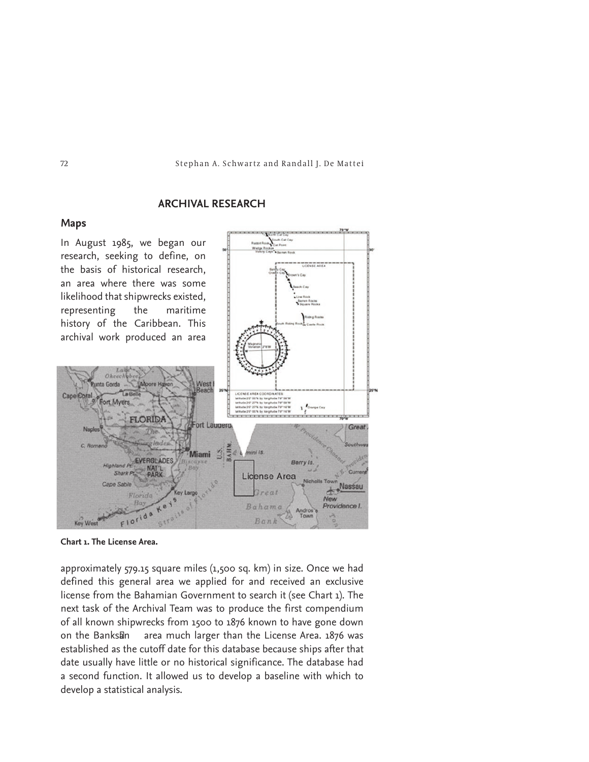# **ARCHIVAL RESEARCH**

# **Maps**

In August 1985, we began our research, seeking to define, on the basis of historical research, an area where there was some likelihood that shipwrecks existed, representing the maritime archival work produced an area





approximately 579.15 square miles (1,500 sq. km) in size. Once we had defined this general area we applied for and received an exclusive license from the Bahamian Government to search it (see Chart 1). The next task of the Archival Team was to produce the first compendium of all known shipwrecks from 1500 to 1876 known to have gone down on the Banks<sub>I</sub>n area much larger than the License Area. 1876 was established as the cutoff date for this database because ships after that date usually have little or no historical significance. The database had a second function. It allowed us to develop a baseline with which to develop a statistical analysis.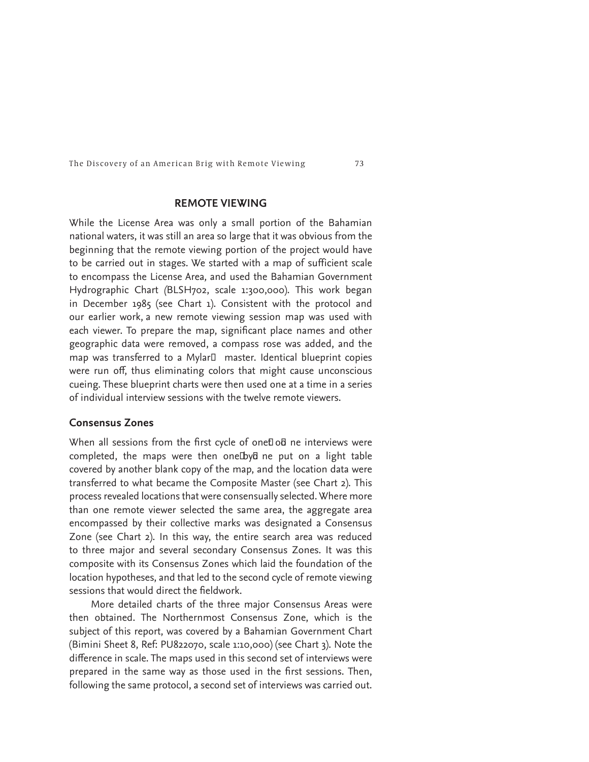# **REMOTE VIEWING**

While the License Area was only a small portion of the Bahamian national waters, it was still an area so large that it was obvious from the beginning that the remote viewing portion of the project would have to be carried out in stages. We started with a map of sufficient scale to encompass the License Area*,* and used the Bahamian Government Hydrographic Chart *(*BLSH702, scale 1:300,000)*.* This work began in December 1985 (see Chart 1). Consistent with the protocol and our earlier work, a new remote viewing session map was used with each viewer. To prepare the map, significant place names and other geographic data were removed, a compass rose was added, and the map was transferred to a Mylar<sup>D</sup> master. Identical blueprint copies were run off, thus eliminating colors that might cause unconscious cueing. These blueprint charts were then used one at a time in a series of individual interview sessions with the twelve remote viewers.

# **Consensus Zones**

When all sessions from the first cycle of one*E* o*B* ne interviews were completed, the maps were then oneDya ne put on a light table covered by another blank copy of the map, and the location data were transferred to what became the Composite Master (see Chart 2). This process revealed locations that were consensually selected. Where more than one remote viewer selected the same area, the aggregate area encompassed by their collective marks was designated a Consensus Zone (see Chart 2). In this way, the entire search area was reduced to three major and several secondary Consensus Zones. It was this composite with its Consensus Zones which laid the foundation of the location hypotheses, and that led to the second cycle of remote viewing sessions that would direct the fieldwork.

More detailed charts of the three major Consensus Areas were then obtained. The Northernmost Consensus Zone, which is the subject of this report, was covered by a Bahamian Government Chart (Bimini Sheet 8, Ref: PU822070, scale 1:10,000) (see Chart 3). Note the difference in scale. The maps used in this second set of interviews were prepared in the same way as those used in the first sessions. Then, following the same protocol, a second set of interviews was carried out.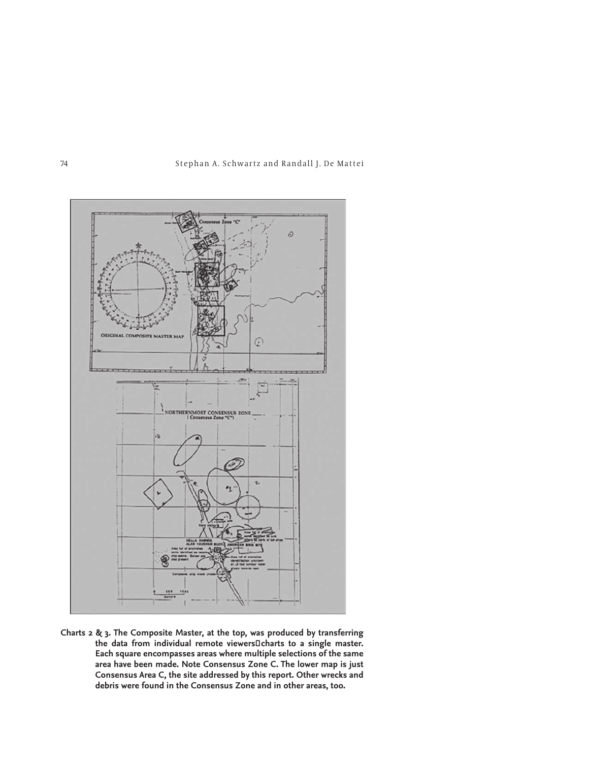



**Charts 2 & 3. The Composite Master, at the top, was produced by transferring**  the data from individual remote viewers<sup>[]</sup> charts to a single master. **Each square encompasses areas where multiple selections of the same area have been made. Note Consensus Zone C. The lower map is just Consensus Area C, the site addressed by this report. Other wrecks and debris were found in the Consensus Zone and in other areas, too.**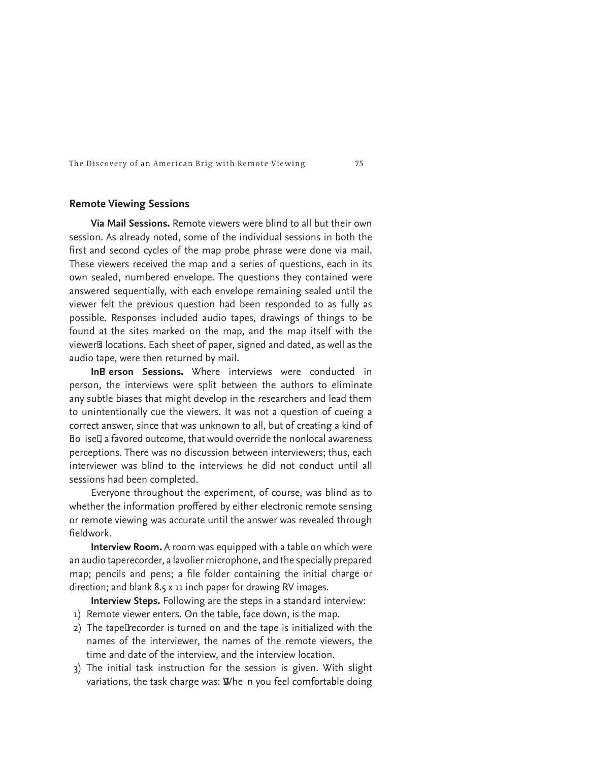### **Remote Viewing Sessions**

**Via Mail Sessions.** Remote viewers were blind to all but their own session. As already noted, some of the individual sessions in both the first and second cycles of the map probe phrase were done via mail. These viewers received the map and a series of questions, each in its own sealed, numbered envelope. The questions they contained were answered sequentially, with each envelope remaining sealed until the viewer felt the previous question had been responded to as fully as possible. Responses included audio tapes, drawings of things to be found at the sites marked on the map, and the map itself with the viewerß locations. Each sheet of paper, signed and dated, as well as the audio tape, were then returned by mail.

**InB erson Sessions.** Where interviews were conducted in person, the interviews were split between the authors to eliminate any subtle biases that might develop in the researchers and lead them to unintentionally cue the viewers. It was not a question of cueing a correct answer, since that was unknown to all, but of creating a kind of Bo isel a favored outcome, that would override the nonlocal awareness perceptions. There was no discussion between interviewers; thus, each interviewer was blind to the interviews he did not conduct until all sessions had been completed.

Everyone throughout the experiment, of course, was blind as to whether the information proffered by either electronic remote sensing or remote viewing was accurate until the answer was revealed through fieldwork.

**Interview Room.** A room was equipped with a table on which were an audio taperecorder, a lavolier microphone, and the specially prepared map; pencils and pens; a file folder containing the initial charge or direction; and blank 8.5 x 11 inch paper for drawing RV images.

**Interview Steps.** Following are the steps in a standard interview:

- 1) Remote viewer enters. On the table, face down, is the map.
- 2) The tapeI recorder is turned on and the tape is initialized with the names of the interviewer, the names of the remote viewers, the time and date of the interview, and the interview location.
- 3) The initial task instruction for the session is given. With slight variations, the task charge was:  $W$ he n you feel comfortable doing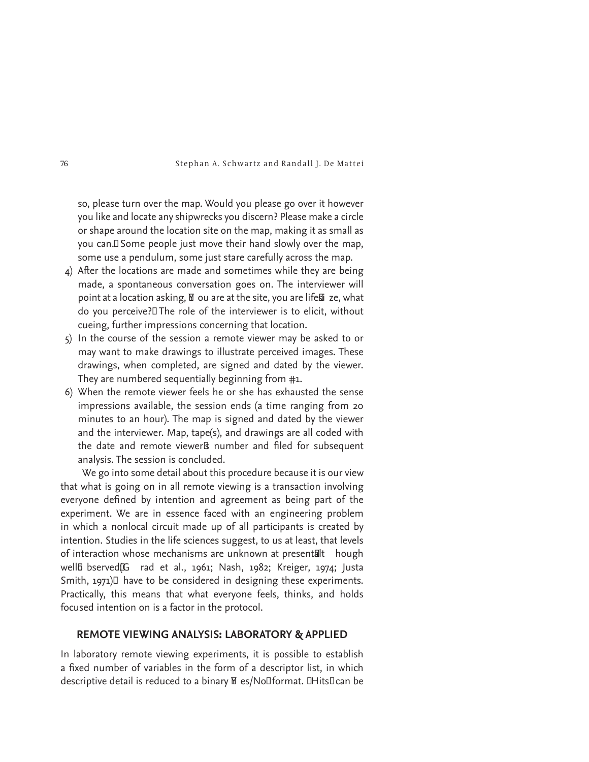so, please turn over the map. Would you please go over it however you like and locate any shipwrecks you discern? Please make a circle or shape around the location site on the map, making it as small as you can.<sup>I</sup> Some people just move their hand slowly over the map, some use a pendulum, some just stare carefully across the map.

- 4) After the locations are made and sometimes while they are being made, a spontaneous conversation goes on. The interviewer will point at a location asking, M ou are at the site, you are life�i ze, what do you perceive?î The role of the interviewer is to elicit, without cueing, further impressions concerning that location.
- 5) In the course of the session a remote viewer may be asked to or may want to make drawings to illustrate perceived images. These drawings, when completed, are signed and dated by the viewer. They are numbered sequentially beginning from #1.
- 6) When the remote viewer feels he or she has exhausted the sense impressions available, the session ends (a time ranging from 20 minutes to an hour). The map is signed and dated by the viewer and the interviewer. Map, tape(s), and drawings are all coded with the date and remote viewer<sup>g</sup> number and filed for subsequent analysis. The session is concluded.

We go into some detail about this procedure because it is our view that what is going on in all remote viewing is a transaction involving everyone defined by intention and agreement as being part of the experiment. We are in essence faced with an engineering problem in which a nonlocal circuit made up of all participants is created by intention. Studies in the life sciences suggest, to us at least, that levels of interaction whose mechanisms are unknown at presentalt hough wella bserved(G rad et al., 1961; Nash, 1982; Kreiger, 1974; Justa Smith, 1971) $\square$  have to be considered in designing these experiments. Practically, this means that what everyone feels, thinks, and holds focused intention on is a factor in the protocol.

# **REMOTE VIEWING ANALYSIS: LABORATORY & APPLIED**

In laboratory remote viewing experiments, it is possible to establish a fixed number of variables in the form of a descriptor list, in which descriptive detail is reduced to a binary  $\mathbb N$  es/No<sup>nf</sup>ormat. **I** Hits<sup>ncan</sup> be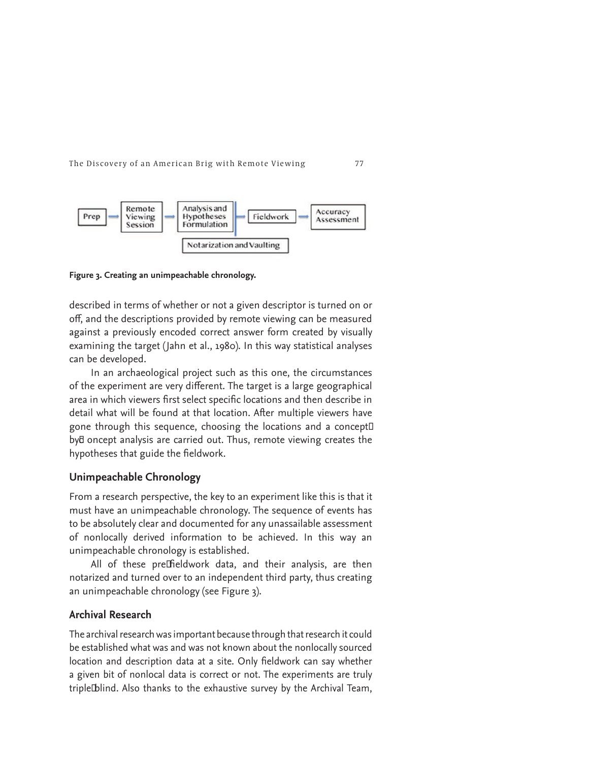

**Figure 3. Creating an unimpeachable chronology.** 

described in terms of whether or not a given descriptor is turned on or off, and the descriptions provided by remote viewing can be measured against a previously encoded correct answer form created by visually examining the target (Jahn et al., 1980). In this way statistical analyses can be developed.

In an archaeological project such as this one, the circumstances of the experiment are very different. The target is a large geographical area in which viewers first select specific locations and then describe in detail what will be found at that location. After multiple viewers have gone through this sequence, choosing the locations and a concept<sup>[]</sup> by<sub>d</sub> oncept analysis are carried out. Thus, remote viewing creates the hypotheses that guide the fieldwork.

# **Unimpeachable Chronology**

From a research perspective, the key to an experiment like this is that it must have an unimpeachable chronology. The sequence of events has to be absolutely clear and documented for any unassailable assessment of nonlocally derived information to be achieved. In this way an unimpeachable chronology is established.

All of these preIfieldwork data, and their analysis, are then notarized and turned over to an independent third party, thus creating an unimpeachable chronology (see Figure 3).

# **Archival Research**

The archival research was important because through that research it could be established what was and was not known about the nonlocally sourced location and description data at a site. Only fieldwork can say whether a given bit of nonlocal data is correct or not. The experiments are truly triple∆ blind. Also thanks to the exhaustive survey by the Archival Team,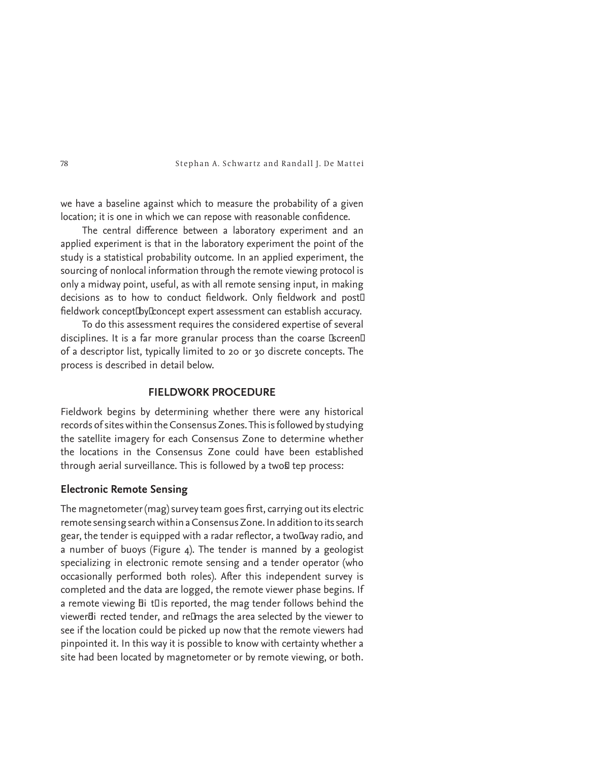we have a baseline against which to measure the probability of a given location; it is one in which we can repose with reasonable confidence.

The central difference between a laboratory experiment and an applied experiment is that in the laboratory experiment the point of the study is a statistical probability outcome. In an applied experiment, the sourcing of nonlocal information through the remote viewing protocol is only a midway point, useful, as with all remote sensing input, in making decisions as to how to conduct fieldwork. Only fieldwork and post□ fieldwork conceptIbyIconcept expert assessment can establish accuracy.

To do this assessment requires the considered expertise of several disciplines. It is a far more granular process than the coarse *Escreen*<sup>[]</sup> of a descriptor list, typically limited to 20 or 30 discrete concepts. The process is described in detail below.

# **FIELDWORK PROCEDURE**

Fieldwork begins by determining whether there were any historical records of sites within the Consensus Zones. This is followed by studying the satellite imagery for each Consensus Zone to determine whether the locations in the Consensus Zone could have been established through aerial surveillance. This is followed by a two& tep process:

## **Electronic Remote Sensing**

The magnetometer (mag) survey team goes first, carrying out its electric remote sensing search within a Consensus Zone. In addition to its search gear, the tender is equipped with a radar reflector, a twoLway radio, and a number of buoys (Figure 4). The tender is manned by a geologist specializing in electronic remote sensing and a tender operator (who occasionally performed both roles). After this independent survey is completed and the data are logged, the remote viewer phase begins. If a remote viewing  $\overline{b}$  it  $\overline{b}$  is reported, the mag tender follows behind the viewerdi rected tender, and reImags the area selected by the viewer to see if the location could be picked up now that the remote viewers had pinpointed it. In this way it is possible to know with certainty whether a site had been located by magnetometer or by remote viewing, or both.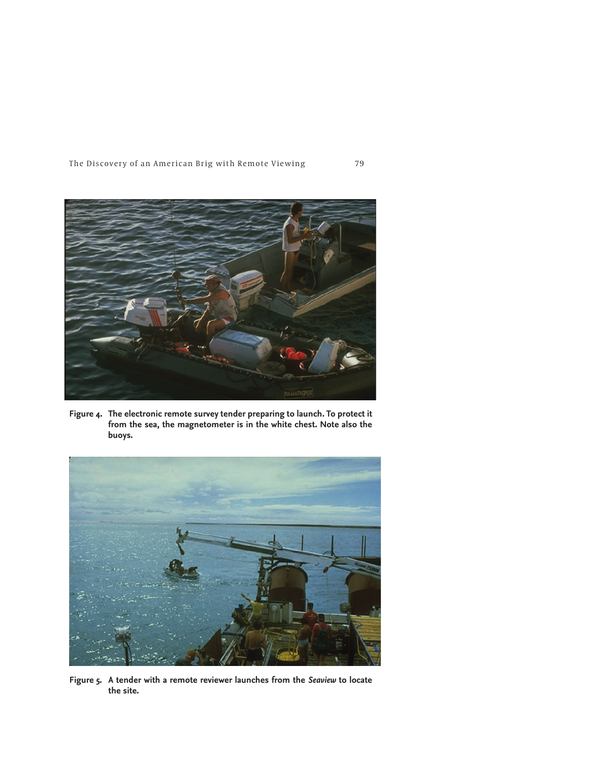

**Figure 4. The electronic remote survey tender preparing to launch. To protect it from the sea, the magnetometer is in the white chest. Note also the buoys.** 



**Figure 5. A tender with a remote reviewer launches from the** *Seaview* **to locate the site.**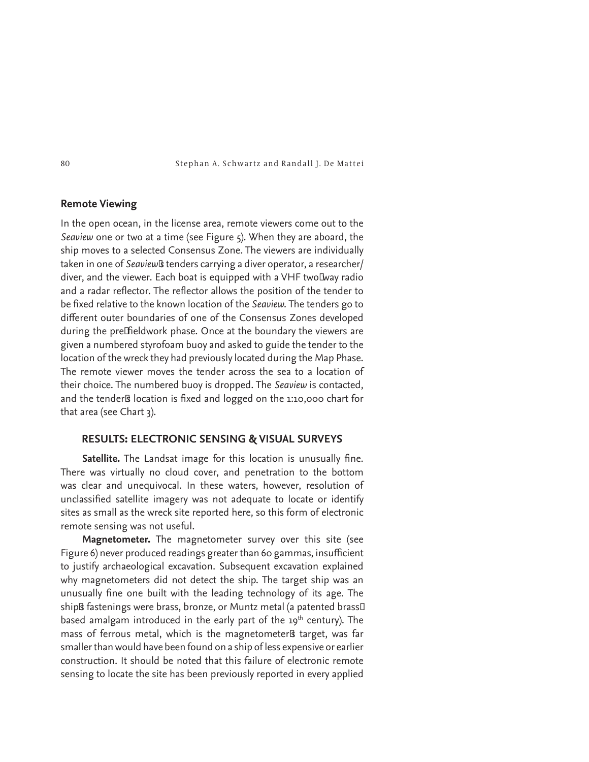# **Remote Viewing**

In the open ocean, in the license area, remote viewers come out to the *Seaview* one or two at a time (see Figure 5)*.* When they are aboard, the ship moves to a selected Consensus Zone. The viewers are individually taken in one of *Seaview*<sup>Is</sup> tenders carrying a diver operator, a researcher/ diver, and the viewer. Each boat is equipped with a VHF twoIway radio and a radar reflector. The reflector allows the position of the tender to be fixed relative to the known location of the *Seaview*. The tenders go to different outer boundaries of one of the Consensus Zones developed during the preIfieldwork phase. Once at the boundary the viewers are given a numbered styrofoam buoy and asked to guide the tender to the location of the wreck they had previously located during the Map Phase. The remote viewer moves the tender across the sea to a location of their choice. The numbered buoy is dropped. The *Seaview* is contacted, and the tender<sub>ß</sub> location is fixed and logged on the 1:10,000 chart for that area (see Chart 3).

# **RESULTS: ELECTRONIC SENSING & VISUAL SURVEYS**

**Satellite.** The Landsat image for this location is unusually fine. There was virtually no cloud cover, and penetration to the bottom was clear and unequivocal. In these waters, however, resolution of unclassified satellite imagery was not adequate to locate or identify sites as small as the wreck site reported here, so this form of electronic remote sensing was not useful.

**Magnetometer.** The magnetometer survey over this site (see Figure 6) never produced readings greater than 60 gammas, insufficient to justify archaeological excavation. Subsequent excavation explained why magnetometers did not detect the ship. The target ship was an unusually fine one built with the leading technology of its age. The shipß fastenings were brass, bronze, or Muntz metal (a patented brass□ based amalgam introduced in the early part of the  $19<sup>th</sup>$  century). The mass of ferrous metal, which is the magnetometer<sup>g</sup> target, was far smaller than would have been found on a ship of less expensive or earlier construction. It should be noted that this failure of electronic remote sensing to locate the site has been previously reported in every applied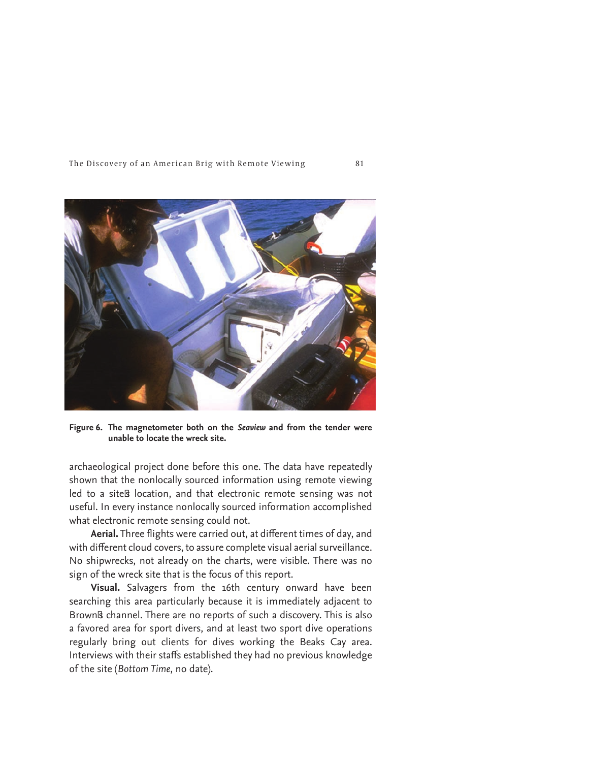

**Figure 6. The magnetometer both on the** *Seaview* **and from the tender were unable to locate the wreck site.** 

archaeological project done before this one. The data have repeatedly shown that the nonlocally sourced information using remote viewing led to a site<sup>g</sup> location, and that electronic remote sensing was not useful. In every instance nonlocally sourced information accomplished what electronic remote sensing could not.

Aerial. Three flights were carried out, at different times of day, and with different cloud covers, to assure complete visual aerial surveillance. No shipwrecks, not already on the charts, were visible. There was no sign of the wreck site that is the focus of this report.

**Visual.** Salvagers from the 16th century onward have been searching this area particularly because it is immediately adjacent to Brownß channel. There are no reports of such a discovery. This is also a favored area for sport divers, and at least two sport dive operations regularly bring out clients for dives working the Beaks Cay area. Interviews with their staffs established they had no previous knowledge of the site (*Bottom Time*, no date).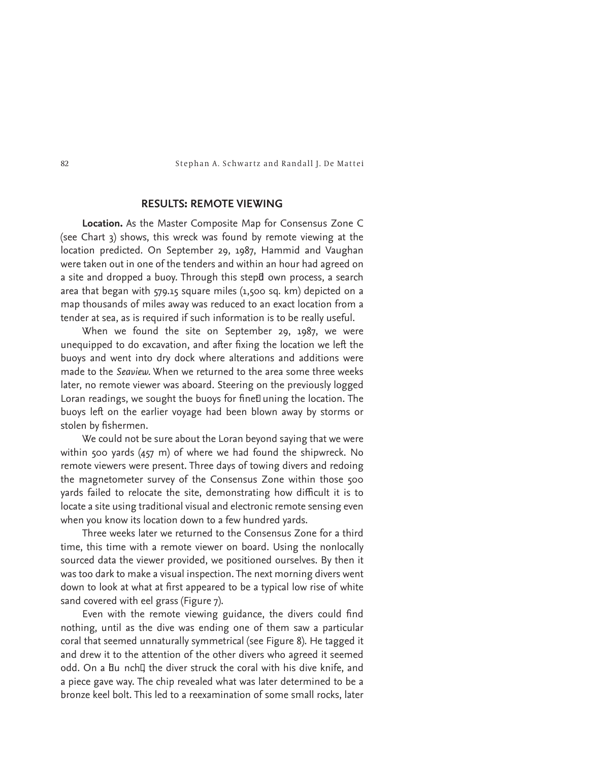# **RESULTS: REMOTE VIEWING**

**Location.** As the Master Composite Map for Consensus Zone C (see Chart 3) shows, this wreck was found by remote viewing at the location predicted. On September 29, 1987, Hammid and Vaughan were taken out in one of the tenders and within an hour had agreed on a site and dropped a buoy. Through this stepd own process, a search area that began with 579.15 square miles (1,500 sq. km) depicted on a map thousands of miles away was reduced to an exact location from a tender at sea, as is required if such information is to be really useful.

When we found the site on September 29, 1987, we were unequipped to do excavation, and after fixing the location we left the buoys and went into dry dock where alterations and additions were made to the *Seaview.* When we returned to the area some three weeks later, no remote viewer was aboard. Steering on the previously logged Loran readings, we sought the buoys for finet uning the location. The buoys left on the earlier voyage had been blown away by storms or stolen by fishermen.

We could not be sure about the Loran beyond saying that we were within 500 yards (457 m) of where we had found the shipwreck. No remote viewers were present. Three days of towing divers and redoing the magnetometer survey of the Consensus Zone within those 500 yards failed to relocate the site, demonstrating how difficult it is to locate a site using traditional visual and electronic remote sensing even when you know its location down to a few hundred yards.

Three weeks later we returned to the Consensus Zone for a third time, this time with a remote viewer on board. Using the nonlocally sourced data the viewer provided, we positioned ourselves. By then it was too dark to make a visual inspection. The next morning divers went down to look at what at first appeared to be a typical low rise of white sand covered with eel grass (Figure 7).

Even with the remote viewing guidance, the divers could find nothing, until as the dive was ending one of them saw a particular coral that seemed unnaturally symmetrical (see Figure 8). He tagged it and drew it to the attention of the other divers who agreed it seemed odd. On a Bu nch<sup>[]</sup> the diver struck the coral with his dive knife, and a piece gave way. The chip revealed what was later determined to be a bronze keel bolt. This led to a reexamination of some small rocks, later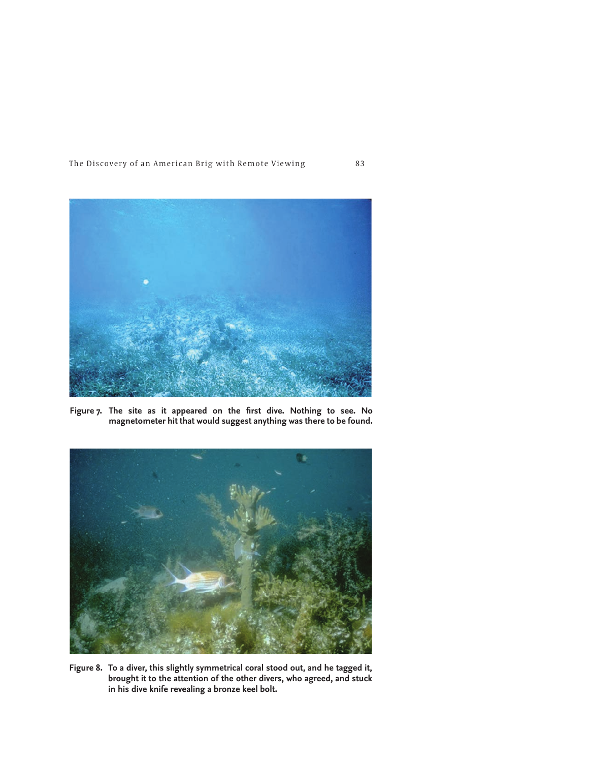

Figure 7. The site as it appeared on the first dive. Nothing to see. No **magnetometer hit that would suggest anything was there to be found.**



**Figure 8. To a diver, this slightly symmetrical coral stood out, and he tagged it, brought it to the attention of the other divers, who agreed, and stuck in his dive knife revealing a bronze keel bolt.**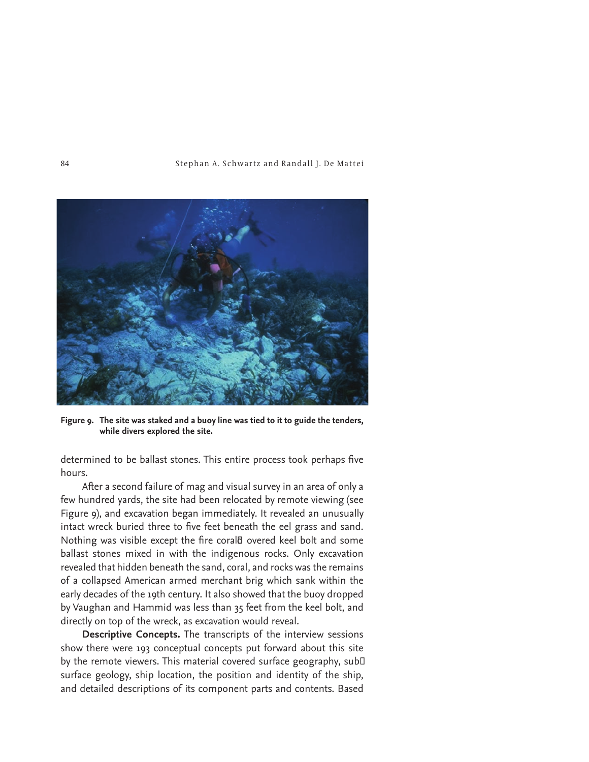

**Figure 9. The site was staked and a buoy line was tied to it to guide the tenders, while divers explored the site.**

determined to be ballast stones. This entire process took perhaps five hours.

After a second failure of mag and visual survey in an area of only a few hundred yards, the site had been relocated by remote viewing (see Figure 9), and excavation began immediately. It revealed an unusually intact wreck buried three to five feet beneath the eel grass and sand. Nothing was visible except the fire coral<sub>d</sub> overed keel bolt and some ballast stones mixed in with the indigenous rocks. Only excavation revealed that hidden beneath the sand, coral, and rocks was the remains of a collapsed American armed merchant brig which sank within the early decades of the 19th century. It also showed that the buoy dropped by Vaughan and Hammid was less than 35 feet from the keel bolt, and directly on top of the wreck, as excavation would reveal.

**Descriptive Concepts.** The transcripts of the interview sessions show there were 193 conceptual concepts put forward about this site by the remote viewers. This material covered surface geography, sub□ surface geology, ship location, the position and identity of the ship, and detailed descriptions of its component parts and contents. Based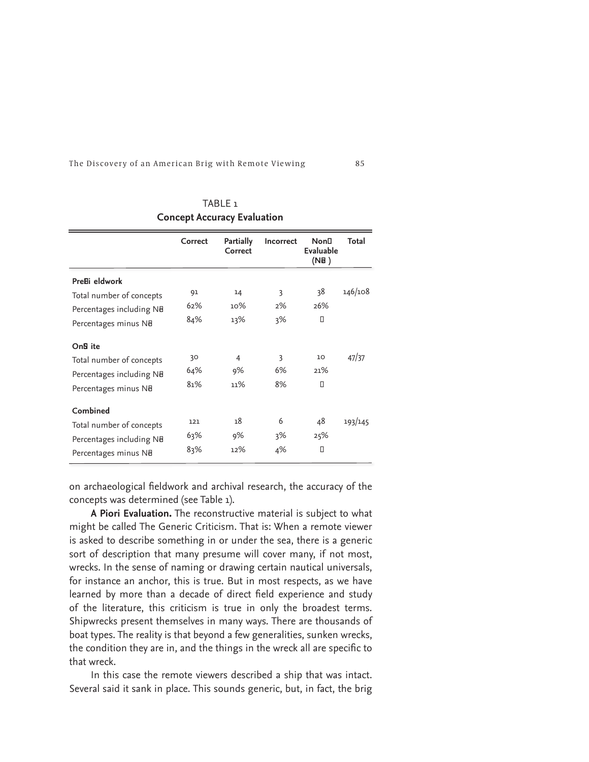|                           | Correct | Partially<br>Correct | Incorrect | <b>Non</b> D<br>Evaluable<br>(NB) | Total   |
|---------------------------|---------|----------------------|-----------|-----------------------------------|---------|
| Pre <sub>Bi</sub> eldwork |         |                      |           |                                   |         |
| Total number of concepts  | 91      | 14                   | 3         | 38                                | 146/108 |
| Percentages including NB  | 62%     | 10%                  | 2%        | 26%                               |         |
| Percentages minus NB      | 84%     | 13%                  | 3%        | Π                                 |         |
| On <sub>B</sub> ite       |         |                      |           |                                   |         |
| Total number of concepts  | 30      | $\overline{4}$       | 3         | 10                                | 47/37   |
| Percentages including NB  | 64%     | 9%                   | 6%        | 21%                               |         |
| Percentages minus NB      | 81%     | 11%                  | 8%        | П                                 |         |
| Combined                  |         |                      |           |                                   |         |
| Total number of concepts  | 121     | 18                   | 6         | 48                                | 193/145 |
| Percentages including NB  | 63%     | 9%                   | 3%        | 25%                               |         |
| Percentages minus NB      | 83%     | 12%                  | 4%        | Ο                                 |         |

TABLE 1 **Concept Accuracy Evaluation**

on archaeological fieldwork and archival research, the accuracy of the concepts was determined (see Table 1).

<sup>-</sup>

**A Piori Evaluation.** The reconstructive material is subject to what might be called The Generic Criticism. That is: When a remote viewer is asked to describe something in or under the sea, there is a generic sort of description that many presume will cover many, if not most, wrecks. In the sense of naming or drawing certain nautical universals, for instance an anchor, this is true. But in most respects, as we have learned by more than a decade of direct field experience and study of the literature, this criticism is true in only the broadest terms. Shipwrecks present themselves in many ways. There are thousands of boat types. The reality is that beyond a few generalities, sunken wrecks, the condition they are in, and the things in the wreck all are specific to that wreck.

In this case the remote viewers described a ship that was intact. Several said it sank in place. This sounds generic, but, in fact, the brig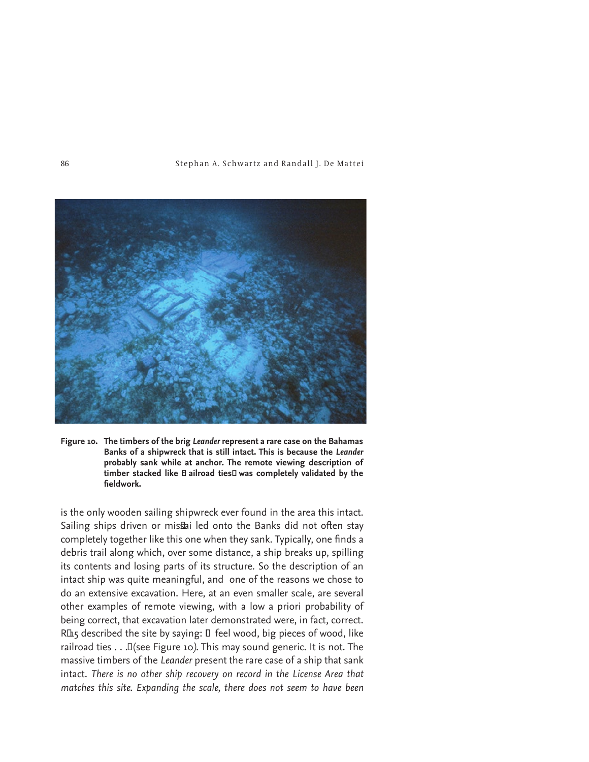

**Figure 10. The timbers of the brig** *Leander* **represent a rare case on the Bahamas Banks of a shipwreck that is still intact. This is because the** *Leander* **probably sank while at anchor. The remote viewing description of**  timber stacked like **E** ailroad ties<sup>I</sup> was completely validated by the  $fieldwork.$ 

is the only wooden sailing shipwreck ever found in the area this intact. Sailing ships driven or mis ai led onto the Banks did not often stay completely together like this one when they sank. Typically, one finds a debris trail along which, over some distance, a ship breaks up, spilling its contents and losing parts of its structure. So the description of an intact ship was quite meaningful, and one of the reasons we chose to do an extensive excavation. Here, at an even smaller scale, are several other examples of remote viewing, with a low a priori probability of being correct, that excavation later demonstrated were, in fact, correct. RLL5 described the site by saying: □ feel wood, big pieces of wood, like railroad ties . . .î (see Figure 10*)*. This may sound generic. It is not. The massive timbers of the *Leander* present the rare case of a ship that sank intact. *There is no other ship recovery on record in the License Area that matches this site. Expanding the scale, there does not seem to have been*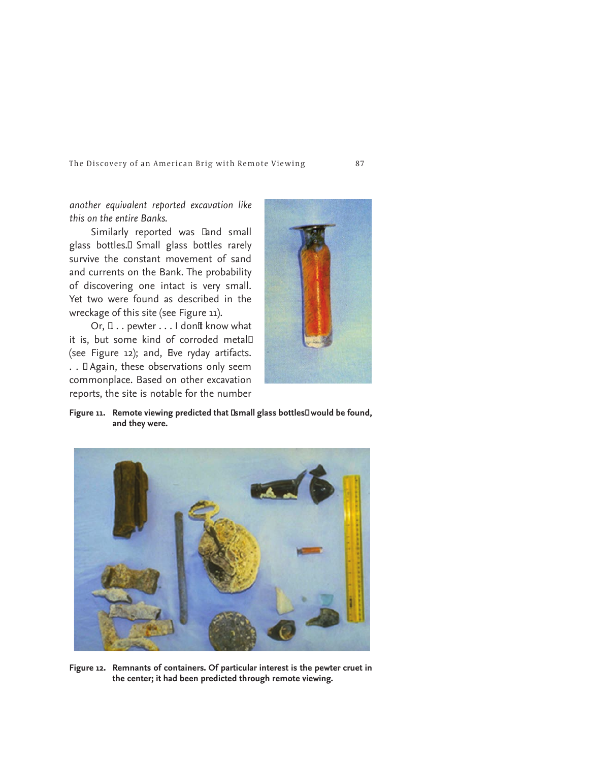*another equivalent reported excavation like this on the entire Banks.*

Similarly reported was Land small glass bottles.<sup>II</sup> Small glass bottles rarely survive the constant movement of sand and currents on the Bank. The probability of discovering one intact is very small. Yet two were found as described in the wreckage of this site (see Figure 11).

Or,  $\Box$ .. pewter ... I don It know what it is, but some kind of corroded metal<sup>[1]</sup> (see Figure 12); and, Eve ryday artifacts. .. I Again, these observations only seem commonplace. Based on other excavation reports, the site is notable for the number



Figure 11. Remote viewing predicted that **Ismall glass bottles**I would be found, **and they were.**



**Figure 12. Remnants of containers. Of particular interest is the pewter cruet in the center; it had been predicted through remote viewing.**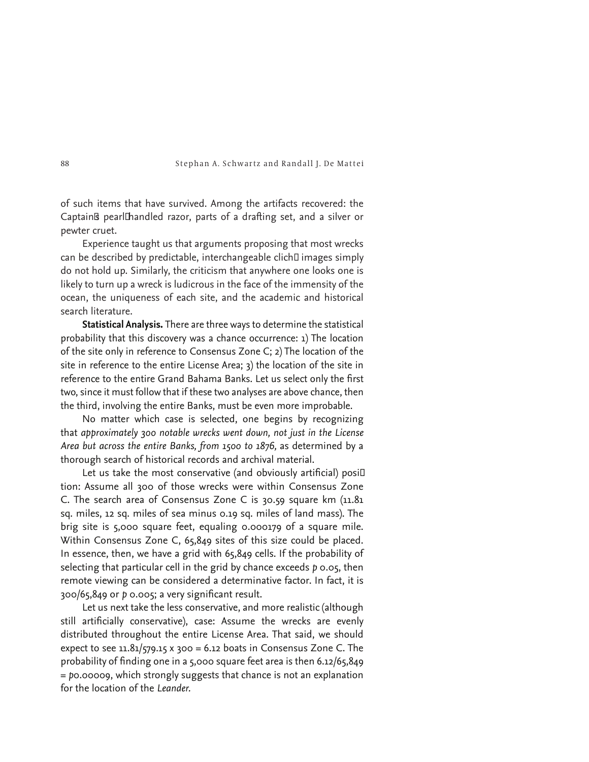of such items that have survived. Among the artifacts recovered: the Captain<sub>B</sub> pearlIhandled razor, parts of a drafting set, and a silver or pewter cruet.

Experience taught us that arguments proposing that most wrecks can be described by predictable, interchangeable clich<sup>I</sup> images simply do not hold up. Similarly, the criticism that anywhere one looks one is likely to turn up a wreck is ludicrous in the face of the immensity of the ocean, the uniqueness of each site, and the academic and historical search literature.

**Statistical Analysis.** There are three ways to determine the statistical probability that this discovery was a chance occurrence: 1) The location of the site only in reference to Consensus Zone C; 2) The location of the site in reference to the entire License Area; 3) the location of the site in reference to the entire Grand Bahama Banks. Let us select only the first two, since it must follow that if these two analyses are above chance, then the third, involving the entire Banks, must be even more improbable.

No matter which case is selected, one begins by recognizing that *approximately 300 notable wrecks went down, not just in the License Area but across the entire Banks, from 1500 to 1876,* as determined by a thorough search of historical records and archival material.

Let us take the most conservative (and obviously artificial) posi $\Box$ tion: Assume all 300 of those wrecks were within Consensus Zone C. The search area of Consensus Zone C is 30.59 square km (11.81 sq. miles, 12 sq. miles of sea minus 0.19 sq. miles of land mass). The brig site is 5,000 square feet, equaling 0.000179 of a square mile. Within Consensus Zone C, 65,849 sites of this size could be placed. In essence, then, we have a grid with 65,849 cells. If the probability of selecting that particular cell in the grid by chance exceeds *p* 0.05, then remote viewing can be considered a determinative factor. In fact, it is 300/65,849 or p 0.005; a very significant result.

Let us next take the less conservative, and more realistic (although still artificially conservative), case: Assume the wrecks are evenly distributed throughout the entire License Area. That said, we should expect to see 11.81/579.15 x 300 = 6.12 boats in Consensus Zone C. The probability of finding one in a 5,000 square feet area is then 6.12/65,849 = *p*0.00009, which strongly suggests that chance is not an explanation for the location of the *Leander.*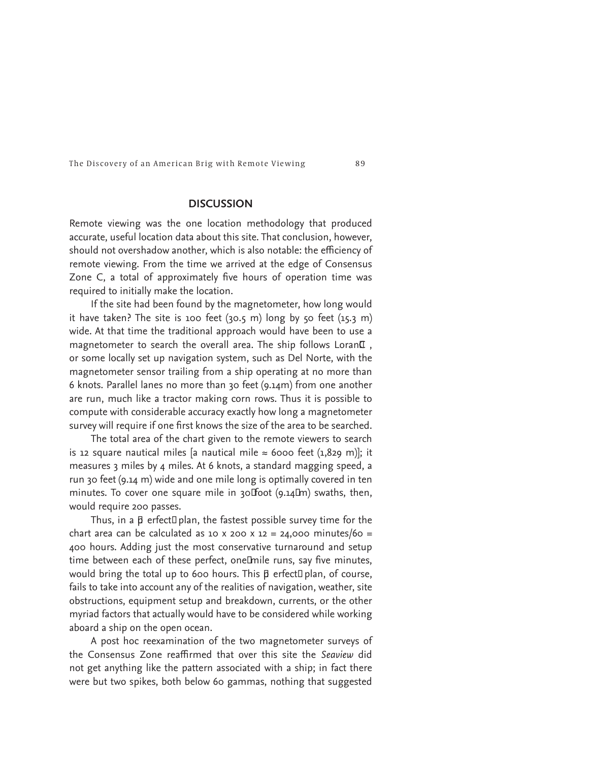# **DISCUSSION**

Remote viewing was the one location methodology that produced accurate, useful location data about this site. That conclusion, however, should not overshadow another, which is also notable: the efficiency of remote viewing. From the time we arrived at the edge of Consensus Zone C, a total of approximately five hours of operation time was required to initially make the location.

If the site had been found by the magnetometer, how long would it have taken? The site is 100 feet (30.5 m) long by 50 feet (15.3 m) wide. At that time the traditional approach would have been to use a magnetometer to search the overall area. The ship follows Loran<sup>I</sup>, or some locally set up navigation system, such as Del Norte, with the magnetometer sensor trailing from a ship operating at no more than 6 knots. Parallel lanes no more than 30 feet (9.14m) from one another are run, much like a tractor making corn rows. Thus it is possible to compute with considerable accuracy exactly how long a magnetometer survey will require if one first knows the size of the area to be searched.

The total area of the chart given to the remote viewers to search is 12 square nautical miles [a nautical mile  $\approx$  6000 feet (1,829 m)]; it measures 3 miles by 4 miles. At 6 knots, a standard magging speed, a run 30 feet (9.14 m) wide and one mile long is optimally covered in ten minutes. To cover one square mile in  $30F$  foot (9.14 $I$ m) swaths, then, would require 200 passes.

Thus, in a  $\beta$  erfect $\Box$  plan, the fastest possible survey time for the chart area can be calculated as 10 x 200 x 12 = 24,000 minutes/60 = 400 hours. Adding just the most conservative turnaround and setup time between each of these perfect, oneLmile runs, say five minutes, would bring the total up to 600 hours. This  $\beta$  erfect $\Box$  plan, of course, fails to take into account any of the realities of navigation, weather, site obstructions, equipment setup and breakdown, currents, or the other myriad factors that actually would have to be considered while working aboard a ship on the open ocean.

A post hoc reexamination of the two magnetometer surveys of the Consensus Zone reaffirmed that over this site the *Seaview* did not get anything like the pattern associated with a ship; in fact there were but two spikes, both below 60 gammas, nothing that suggested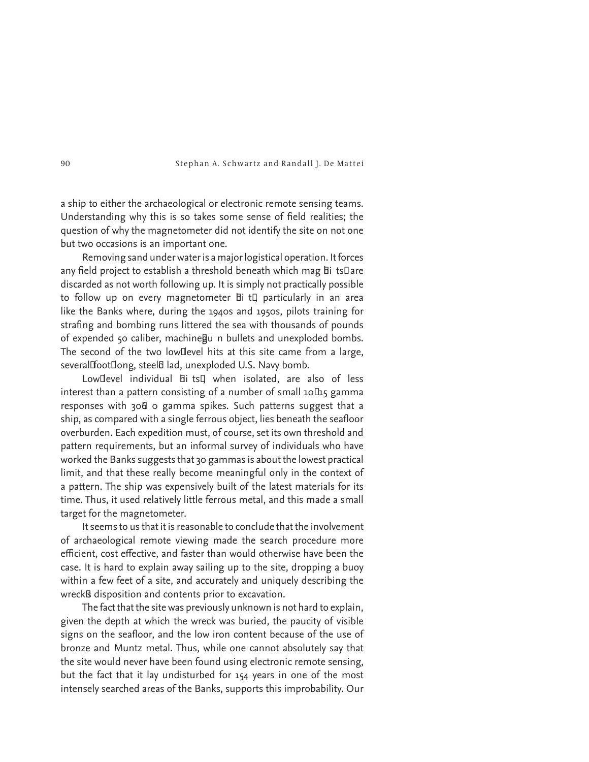a ship to either the archaeological or electronic remote sensing teams. Understanding why this is so takes some sense of field realities; the question of why the magnetometer did not identify the site on not one but two occasions is an important one.

Removing sand under water is a major logistical operation. It forces any field project to establish a threshold beneath which mag  $Bi$  ts $\square$ are discarded as not worth following up. It is simply not practically possible to follow up on every magnetometer **h**i t<sup>[</sup>] particularly in an area like the Banks where, during the 1940s and 1950s, pilots training for strafing and bombing runs littered the sea with thousands of pounds of expended 50 caliber, machine au n bullets and unexploded bombs. The second of the two low□ level hits at this site came from a large, severalFootIlong, steel& lad, unexploded U.S. Navy bomb.

Low<sub>Ilevel</sub> individual *E*li ts<sub>¤</sub> when isolated, are also of less interest than a pattern consisting of a number of small  $10\text{Hz}$  gamma responses with 30<sup>f</sup> o gamma spikes. Such patterns suggest that a ship, as compared with a single ferrous object, lies beneath the seafloor overburden. Each expedition must, of course, set its own threshold and pattern requirements, but an informal survey of individuals who have worked the Banks suggests that 30 gammas is about the lowest practical limit, and that these really become meaningful only in the context of a pattern. The ship was expensively built of the latest materials for its time. Thus, it used relatively little ferrous metal, and this made a small target for the magnetometer.

It seems to us that it is reasonable to conclude that the involvement of archaeological remote viewing made the search procedure more efficient, cost effective, and faster than would otherwise have been the case. It is hard to explain away sailing up to the site, dropping a buoy within a few feet of a site, and accurately and uniquely describing the wreck<sup>g</sup> disposition and contents prior to excavation.

The fact that the site was previously unknown is not hard to explain, given the depth at which the wreck was buried, the paucity of visible signs on the seafloor, and the low iron content because of the use of bronze and Muntz metal. Thus, while one cannot absolutely say that the site would never have been found using electronic remote sensing, but the fact that it lay undisturbed for 154 years in one of the most intensely searched areas of the Banks, supports this improbability. Our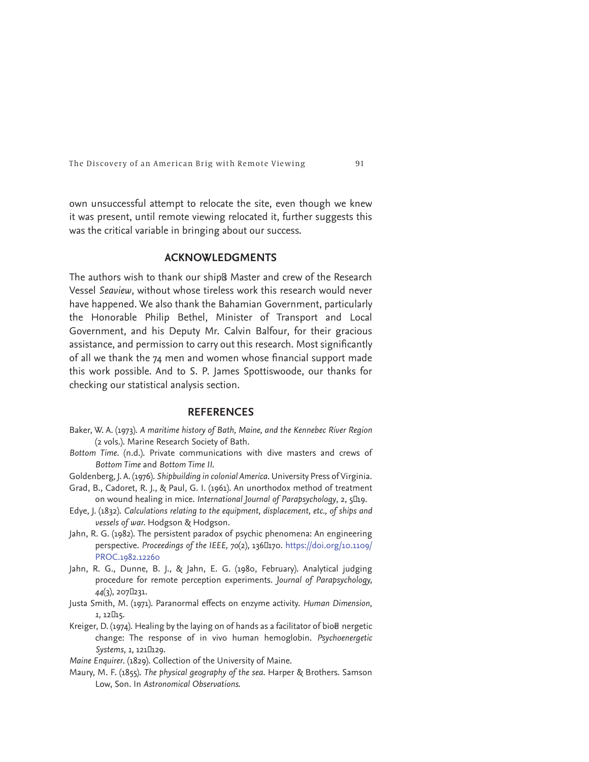own unsuccessful attempt to relocate the site, even though we knew it was present, until remote viewing relocated it, further suggests this was the critical variable in bringing about our success.

# **ACKNOWLEDGMENTS**

The authors wish to thank our ship<sup>ß</sup> Master and crew of the Research Vessel *Seaview*, without whose tireless work this research would never have happened. We also thank the Bahamian Government, particularly the Honorable Philip Bethel, Minister of Transport and Local Government, and his Deputy Mr. Calvin Balfour, for their gracious assistance, and permission to carry out this research. Most significantly of all we thank the  $74$  men and women whose financial support made this work possible. And to S. P. James Spottiswoode, our thanks for checking our statistical analysis section.

## **REFERENCES**

- Baker, W. A. (1973). *A maritime history of Bath, Maine, and the Kennebec River Region*  (2 vols.). Marine Research Society of Bath.
- *Bottom Time*. (n.d.). Private communications with dive masters and crews of *Bottom Time* and *Bottom Time II.*
- Goldenberg, J. A. (1976). *Shipbuilding in colonial America*. University Press of Virginia.
- Grad, B., Cadoret, R. J., & Paul, G. I. (1961). An unorthodox method of treatment on wound healing in mice. International Journal of Parapsychology, 2, 5D19.
- Edye, J. (1832). *Calculations relating to the equipment, displacement, etc., of ships and vessels of war.* Hodgson & Hodgson.
- Jahn, R. G. (1982). The persistent paradox of psychic phenomena: An engineering perspective. Proceedings of the IEEE, 70(2), 136L170. https://doi.org/10.1109/ PROC.1982.12260
- Jahn, R. G., Dunne, B. J., & Jahn, E. G. (1980, February). Analytical judging procedure for remote perception experiments. *Journal of Parapsychology, 44*(3), 207<sup>[</sup>231.
- Justa Smith, M. (1971). Paranormal effects on enzyme activity. *Human Dimension*, 1, 12**l**15.
- Kreiger, D. (1974). Healing by the laying on of hands as a facilitator of bio $\theta$  nergetic change: The response of in vivo human hemoglobin. *Psychoenergetic Systems*, *1,* 121ñ 129.

*Maine Enquirer*. (1829). Collection of the University of Maine.

Maury, M. F. (1855). *The physical geography of the sea*. Harper & Brothers. Samson Low, Son. In *Astronomical Observations.*